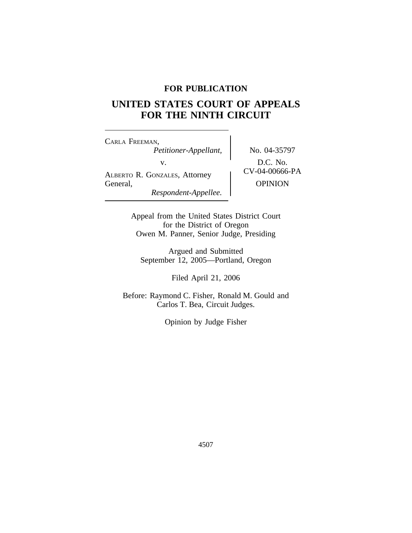# **FOR PUBLICATION**

# **UNITED STATES COURT OF APPEALS FOR THE NINTH CIRCUIT**

<sup>C</sup>ARLA FREEMAN, *Petitioner-Appellant,* No. 04-35797 v.  $\left\{\n\begin{array}{c}\n\text{D.C. No.}\n\text{A} \text{LBERTo R. GoxzALES, Attorney}\n\end{array}\n\right\} \quad\n\text{CV-04-00666-PA}$ General, OPINION *Respondent-Appellee.*

Appeal from the United States District Court for the District of Oregon Owen M. Panner, Senior Judge, Presiding

Argued and Submitted September 12, 2005—Portland, Oregon

Filed April 21, 2006

Before: Raymond C. Fisher, Ronald M. Gould and Carlos T. Bea, Circuit Judges.

Opinion by Judge Fisher

4507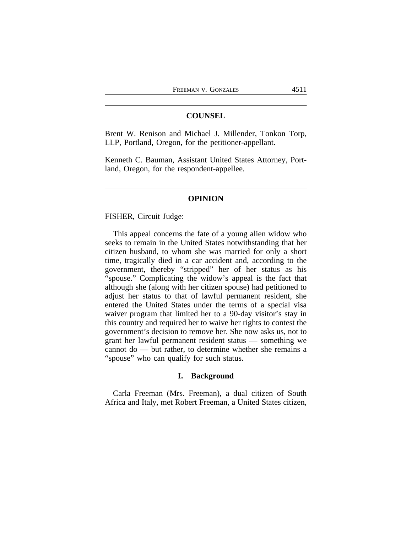## **COUNSEL**

Brent W. Renison and Michael J. Millender, Tonkon Torp, LLP, Portland, Oregon, for the petitioner-appellant.

Kenneth C. Bauman, Assistant United States Attorney, Portland, Oregon, for the respondent-appellee.

#### **OPINION**

FISHER, Circuit Judge:

This appeal concerns the fate of a young alien widow who seeks to remain in the United States notwithstanding that her citizen husband, to whom she was married for only a short time, tragically died in a car accident and, according to the government, thereby "stripped" her of her status as his "spouse." Complicating the widow's appeal is the fact that although she (along with her citizen spouse) had petitioned to adjust her status to that of lawful permanent resident, she entered the United States under the terms of a special visa waiver program that limited her to a 90-day visitor's stay in this country and required her to waive her rights to contest the government's decision to remove her. She now asks us, not to grant her lawful permanent resident status — something we cannot do — but rather, to determine whether she remains a "spouse" who can qualify for such status.

#### **I. Background**

Carla Freeman (Mrs. Freeman), a dual citizen of South Africa and Italy, met Robert Freeman, a United States citizen,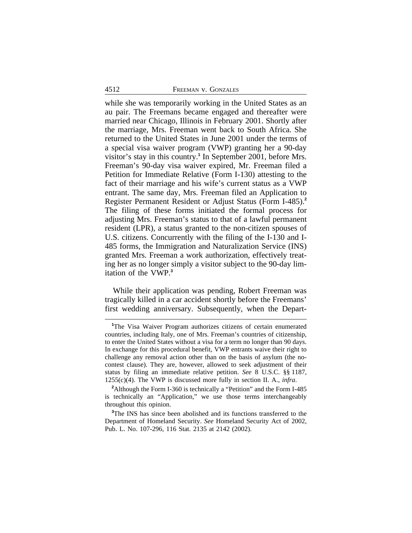while she was temporarily working in the United States as an au pair. The Freemans became engaged and thereafter were married near Chicago, Illinois in February 2001. Shortly after the marriage, Mrs. Freeman went back to South Africa. She returned to the United States in June 2001 under the terms of a special visa waiver program (VWP) granting her a 90-day visitor's stay in this country.<sup>1</sup> In September 2001, before Mrs. Freeman's 90-day visa waiver expired, Mr. Freeman filed a Petition for Immediate Relative (Form I-130) attesting to the fact of their marriage and his wife's current status as a VWP entrant. The same day, Mrs. Freeman filed an Application to Register Permanent Resident or Adjust Status (Form I-485).**<sup>2</sup>** The filing of these forms initiated the formal process for adjusting Mrs. Freeman's status to that of a lawful permanent resident (LPR), a status granted to the non-citizen spouses of U.S. citizens. Concurrently with the filing of the I-130 and I-485 forms, the Immigration and Naturalization Service (INS) granted Mrs. Freeman a work authorization, effectively treating her as no longer simply a visitor subject to the 90-day limitation of the VWP.**<sup>3</sup>**

While their application was pending, Robert Freeman was tragically killed in a car accident shortly before the Freemans' first wedding anniversary. Subsequently, when the Depart-

**<sup>1</sup>**The Visa Waiver Program authorizes citizens of certain enumerated countries, including Italy, one of Mrs. Freeman's countries of citizenship, to enter the United States without a visa for a term no longer than 90 days. In exchange for this procedural benefit, VWP entrants waive their right to challenge any removal action other than on the basis of asylum (the nocontest clause). They are, however, allowed to seek adjustment of their status by filing an immediate relative petition. *See* 8 U.S.C. §§ 1187, 1255(c)(4). The VWP is discussed more fully in section II. A., *infra*.

<sup>&</sup>lt;sup>2</sup>Although the Form I-360 is technically a "Petition" and the Form I-485 is technically an "Application," we use those terms interchangeably throughout this opinion.

**<sup>3</sup>**The INS has since been abolished and its functions transferred to the Department of Homeland Security. *See* Homeland Security Act of 2002, Pub. L. No. 107-296, 116 Stat. 2135 at 2142 (2002).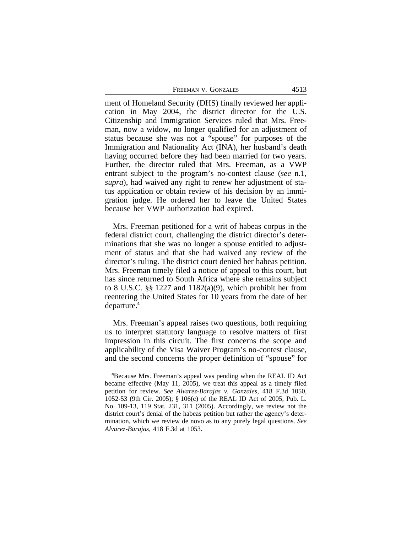| FREEMAN V. GONZALES | 4513 |  |
|---------------------|------|--|
|                     |      |  |

ment of Homeland Security (DHS) finally reviewed her application in May 2004, the district director for the U.S. Citizenship and Immigration Services ruled that Mrs. Freeman, now a widow, no longer qualified for an adjustment of status because she was not a "spouse" for purposes of the Immigration and Nationality Act (INA), her husband's death having occurred before they had been married for two years. Further, the director ruled that Mrs. Freeman, as a VWP entrant subject to the program's no-contest clause (*see* n.1, *supra*), had waived any right to renew her adjustment of status application or obtain review of his decision by an immigration judge. He ordered her to leave the United States because her VWP authorization had expired.

Mrs. Freeman petitioned for a writ of habeas corpus in the federal district court, challenging the district director's determinations that she was no longer a spouse entitled to adjustment of status and that she had waived any review of the director's ruling. The district court denied her habeas petition. Mrs. Freeman timely filed a notice of appeal to this court, but has since returned to South Africa where she remains subject to 8 U.S.C. §§ 1227 and 1182(a)(9), which prohibit her from reentering the United States for 10 years from the date of her departure.**<sup>4</sup>**

Mrs. Freeman's appeal raises two questions, both requiring us to interpret statutory language to resolve matters of first impression in this circuit. The first concerns the scope and applicability of the Visa Waiver Program's no-contest clause, and the second concerns the proper definition of "spouse" for

**<sup>4</sup>**Because Mrs. Freeman's appeal was pending when the REAL ID Act became effective (May 11, 2005), we treat this appeal as a timely filed petition for review. *See Alvarez-Barajas v. Gonzales*, 418 F.3d 1050, 1052-53 (9th Cir. 2005); § 106(c) of the REAL ID Act of 2005, Pub. L. No. 109-13, 119 Stat. 231, 311 (2005). Accordingly, we review not the district court's denial of the habeas petition but rather the agency's determination, which we review de novo as to any purely legal questions. *See Alvarez-Barajas*, 418 F.3d at 1053.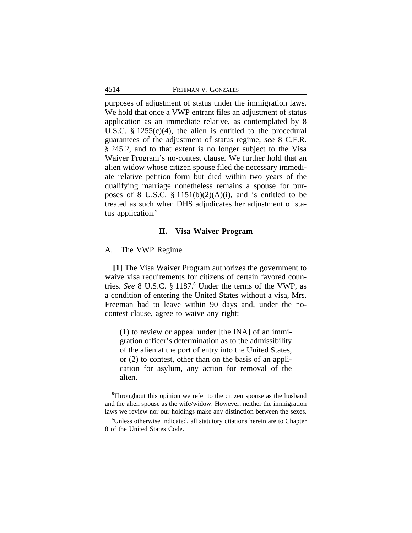purposes of adjustment of status under the immigration laws. We hold that once a VWP entrant files an adjustment of status application as an immediate relative, as contemplated by 8 U.S.C. § 1255(c)(4), the alien is entitled to the procedural guarantees of the adjustment of status regime, *see* 8 C.F.R. § 245.2, and to that extent is no longer subject to the Visa Waiver Program's no-contest clause. We further hold that an alien widow whose citizen spouse filed the necessary immediate relative petition form but died within two years of the qualifying marriage nonetheless remains a spouse for purposes of 8 U.S.C.  $\S$  1151(b)(2)(A)(i), and is entitled to be treated as such when DHS adjudicates her adjustment of status application.**<sup>5</sup>**

#### **II. Visa Waiver Program**

## A. The VWP Regime

**[1]** The Visa Waiver Program authorizes the government to waive visa requirements for citizens of certain favored countries. *See* 8 U.S.C. § 1187.<sup>6</sup> Under the terms of the VWP, as a condition of entering the United States without a visa, Mrs. Freeman had to leave within 90 days and, under the nocontest clause, agree to waive any right:

(1) to review or appeal under [the INA] of an immigration officer's determination as to the admissibility of the alien at the port of entry into the United States, or (2) to contest, other than on the basis of an application for asylum, any action for removal of the alien.

**<sup>5</sup>**Throughout this opinion we refer to the citizen spouse as the husband and the alien spouse as the wife/widow. However, neither the immigration laws we review nor our holdings make any distinction between the sexes.

**<sup>6</sup>**Unless otherwise indicated, all statutory citations herein are to Chapter 8 of the United States Code.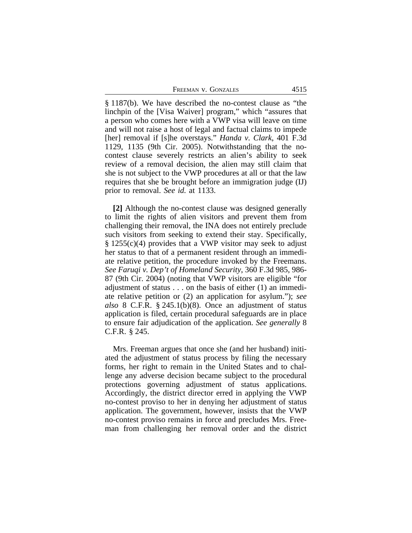FREEMAN V. GONZALES 4515

§ 1187(b). We have described the no-contest clause as "the linchpin of the [Visa Waiver] program," which "assures that a person who comes here with a VWP visa will leave on time and will not raise a host of legal and factual claims to impede [her] removal if [s]he overstays." *Handa v. Clark*, 401 F.3d 1129, 1135 (9th Cir. 2005). Notwithstanding that the nocontest clause severely restricts an alien's ability to seek review of a removal decision, the alien may still claim that she is not subject to the VWP procedures at all or that the law requires that she be brought before an immigration judge (IJ) prior to removal. *See id.* at 1133.

**[2]** Although the no-contest clause was designed generally to limit the rights of alien visitors and prevent them from challenging their removal, the INA does not entirely preclude such visitors from seeking to extend their stay. Specifically,  $§ 1255(c)(4)$  provides that a VWP visitor may seek to adjust her status to that of a permanent resident through an immediate relative petition, the procedure invoked by the Freemans. *See Faruqi v. Dep't of Homeland Security*, 360 F.3d 985, 986- 87 (9th Cir. 2004) (noting that VWP visitors are eligible "for adjustment of status . . . on the basis of either (1) an immediate relative petition or (2) an application for asylum."); *see also* 8 C.F.R. § 245.1(b)(8). Once an adjustment of status application is filed, certain procedural safeguards are in place to ensure fair adjudication of the application. *See generally* 8 C.F.R. § 245.

Mrs. Freeman argues that once she (and her husband) initiated the adjustment of status process by filing the necessary forms, her right to remain in the United States and to challenge any adverse decision became subject to the procedural protections governing adjustment of status applications. Accordingly, the district director erred in applying the VWP no-contest proviso to her in denying her adjustment of status application. The government, however, insists that the VWP no-contest proviso remains in force and precludes Mrs. Freeman from challenging her removal order and the district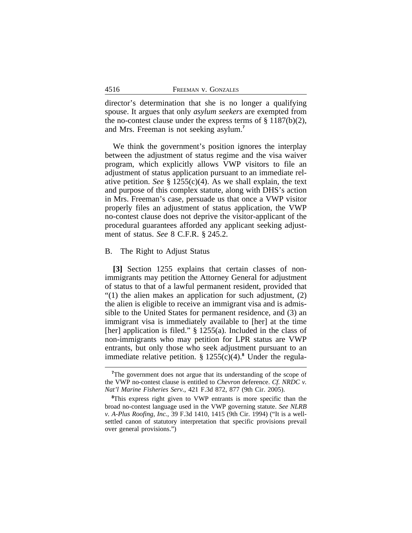| 4516 | FREEMAN V. GONZALES |
|------|---------------------|
|      |                     |

director's determination that she is no longer a qualifying spouse. It argues that only *asylum seekers* are exempted from the no-contest clause under the express terms of  $\S$  1187(b)(2), and Mrs. Freeman is not seeking asylum.**<sup>7</sup>**

We think the government's position ignores the interplay between the adjustment of status regime and the visa waiver program, which explicitly allows VWP visitors to file an adjustment of status application pursuant to an immediate relative petition. *See* § 1255(c)(4). As we shall explain, the text and purpose of this complex statute, along with DHS's action in Mrs. Freeman's case, persuade us that once a VWP visitor properly files an adjustment of status application, the VWP no-contest clause does not deprive the visitor-applicant of the procedural guarantees afforded any applicant seeking adjustment of status. *See* 8 C.F.R. § 245.2.

#### B. The Right to Adjust Status

**[3]** Section 1255 explains that certain classes of nonimmigrants may petition the Attorney General for adjustment of status to that of a lawful permanent resident, provided that  $\degree$ (1) the alien makes an application for such adjustment, (2) the alien is eligible to receive an immigrant visa and is admissible to the United States for permanent residence, and (3) an immigrant visa is immediately available to [her] at the time [her] application is filed." § 1255(a). Included in the class of non-immigrants who may petition for LPR status are VWP entrants, but only those who seek adjustment pursuant to an immediate relative petition. § 1255(c)(4).**<sup>8</sup>** Under the regula-

<sup>&</sup>lt;sup>7</sup>The government does not argue that its understanding of the scope of the VWP no-contest clause is entitled to *Chevron* deference. *Cf. NRDC v. Nat'l Marine Fisheries Serv.*, 421 F.3d 872, 877 (9th Cir. 2005).

**<sup>8</sup>**This express right given to VWP entrants is more specific than the broad no-contest language used in the VWP governing statute. *See NLRB v. A-Plus Roofing, Inc.*, 39 F.3d 1410, 1415 (9th Cir. 1994) ("It is a wellsettled canon of statutory interpretation that specific provisions prevail over general provisions.")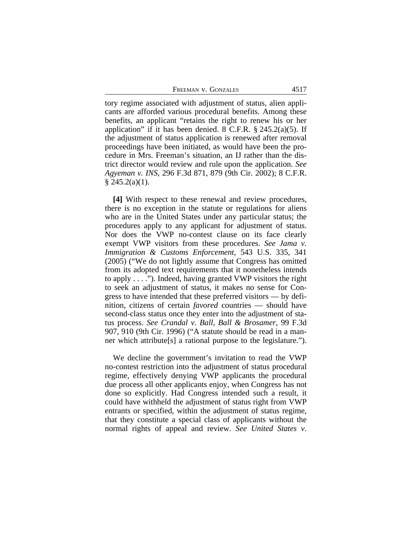FREEMAN V. GONZALES 4517

tory regime associated with adjustment of status, alien applicants are afforded various procedural benefits. Among these benefits, an applicant "retains the right to renew his or her application" if it has been denied. 8 C.F.R.  $\S$  245.2(a)(5). If the adjustment of status application is renewed after removal proceedings have been initiated, as would have been the procedure in Mrs. Freeman's situation, an IJ rather than the district director would review and rule upon the application. *See Agyeman v. INS*, 296 F.3d 871, 879 (9th Cir. 2002); 8 C.F.R.  $§$  245.2(a)(1).

**[4]** With respect to these renewal and review procedures, there is no exception in the statute or regulations for aliens who are in the United States under any particular status; the procedures apply to any applicant for adjustment of status. Nor does the VWP no-contest clause on its face clearly exempt VWP visitors from these procedures. *See Jama v. Immigration & Customs Enforcement*, 543 U.S. 335, 341 (2005) ("We do not lightly assume that Congress has omitted from its adopted text requirements that it nonetheless intends to apply . . . ."). Indeed, having granted VWP visitors the right to seek an adjustment of status, it makes no sense for Congress to have intended that these preferred visitors — by definition, citizens of certain *favored* countries — should have second-class status once they enter into the adjustment of status process. *See Crandal v. Ball, Ball & Brosamer*, 99 F.3d 907, 910 (9th Cir. 1996) ("A statute should be read in a manner which attribute[s] a rational purpose to the legislature.").

We decline the government's invitation to read the VWP no-contest restriction into the adjustment of status procedural regime, effectively denying VWP applicants the procedural due process all other applicants enjoy, when Congress has not done so explicitly. Had Congress intended such a result, it could have withheld the adjustment of status right from VWP entrants or specified, within the adjustment of status regime, that they constitute a special class of applicants without the normal rights of appeal and review. *See United States v.*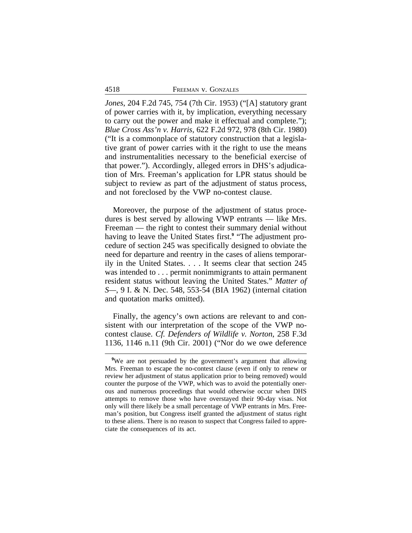*Jones*, 204 F.2d 745, 754 (7th Cir. 1953) ("[A] statutory grant of power carries with it, by implication, everything necessary to carry out the power and make it effectual and complete."); *Blue Cross Ass'n v. Harris*, 622 F.2d 972, 978 (8th Cir. 1980) ("It is a commonplace of statutory construction that a legislative grant of power carries with it the right to use the means and instrumentalities necessary to the beneficial exercise of that power."). Accordingly, alleged errors in DHS's adjudication of Mrs. Freeman's application for LPR status should be subject to review as part of the adjustment of status process, and not foreclosed by the VWP no-contest clause.

Moreover, the purpose of the adjustment of status procedures is best served by allowing VWP entrants — like Mrs. Freeman — the right to contest their summary denial without having to leave the United States first.**<sup>9</sup>** "The adjustment procedure of section 245 was specifically designed to obviate the need for departure and reentry in the cases of aliens temporarily in the United States. . . . It seems clear that section 245 was intended to . . . permit nonimmigrants to attain permanent resident status without leaving the United States." *Matter of S—*, 9 I. & N. Dec. 548, 553-54 (BIA 1962) (internal citation and quotation marks omitted).

Finally, the agency's own actions are relevant to and consistent with our interpretation of the scope of the VWP nocontest clause. *Cf. Defenders of Wildlife v. Norton*, 258 F.3d 1136, 1146 n.11 (9th Cir. 2001) ("Nor do we owe deference

**<sup>9</sup>**We are not persuaded by the government's argument that allowing Mrs. Freeman to escape the no-contest clause (even if only to renew or review her adjustment of status application prior to being removed) would counter the purpose of the VWP, which was to avoid the potentially onerous and numerous proceedings that would otherwise occur when DHS attempts to remove those who have overstayed their 90-day visas. Not only will there likely be a small percentage of VWP entrants in Mrs. Freeman's position, but Congress itself granted the adjustment of status right to these aliens. There is no reason to suspect that Congress failed to appreciate the consequences of its act.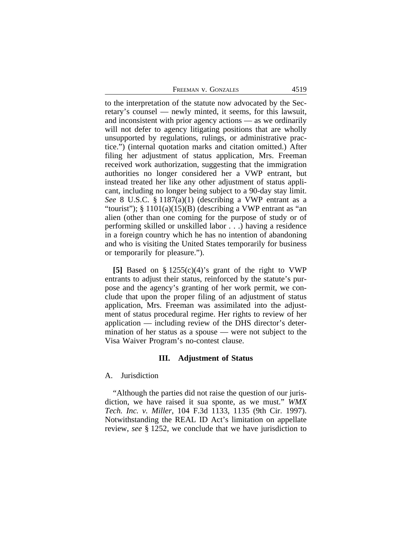| 4519<br>FREEMAN V. GONZALES |  |
|-----------------------------|--|
|-----------------------------|--|

to the interpretation of the statute now advocated by the Secretary's counsel — newly minted, it seems, for this lawsuit, and inconsistent with prior agency actions — as we ordinarily will not defer to agency litigating positions that are wholly unsupported by regulations, rulings, or administrative practice.") (internal quotation marks and citation omitted.) After filing her adjustment of status application, Mrs. Freeman received work authorization, suggesting that the immigration authorities no longer considered her a VWP entrant, but instead treated her like any other adjustment of status applicant, including no longer being subject to a 90-day stay limit. *See* 8 U.S.C. § 1187(a)(1) (describing a VWP entrant as a "tourist");  $\S 1101(a)(15)(B)$  (describing a VWP entrant as "an alien (other than one coming for the purpose of study or of performing skilled or unskilled labor . . .) having a residence in a foreign country which he has no intention of abandoning and who is visiting the United States temporarily for business or temporarily for pleasure.").

**[5]** Based on § 1255(c)(4)'s grant of the right to VWP entrants to adjust their status, reinforced by the statute's purpose and the agency's granting of her work permit, we conclude that upon the proper filing of an adjustment of status application, Mrs. Freeman was assimilated into the adjustment of status procedural regime. Her rights to review of her application — including review of the DHS director's determination of her status as a spouse — were not subject to the Visa Waiver Program's no-contest clause.

#### **III. Adjustment of Status**

#### A. Jurisdiction

"Although the parties did not raise the question of our jurisdiction, we have raised it sua sponte, as we must." *WMX Tech. Inc. v. Miller*, 104 F.3d 1133, 1135 (9th Cir. 1997). Notwithstanding the REAL ID Act's limitation on appellate review, *see* § 1252, we conclude that we have jurisdiction to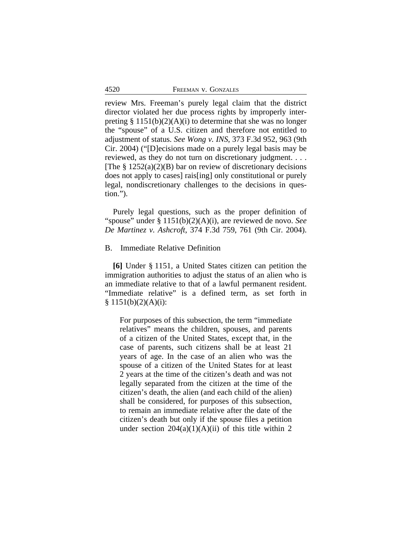| 4520 | FREEMAN V. GONZALES |  |
|------|---------------------|--|
|      |                     |  |

review Mrs. Freeman's purely legal claim that the district director violated her due process rights by improperly interpreting  $\S 1151(b)(2)(A)(i)$  to determine that she was no longer the "spouse" of a U.S. citizen and therefore not entitled to adjustment of status. *See Wong v. INS*, 373 F.3d 952, 963 (9th Cir. 2004) ("[D]ecisions made on a purely legal basis may be reviewed, as they do not turn on discretionary judgment. . . . [The  $\S 1252(a)(2)(B)$  bar on review of discretionary decisions does not apply to cases] rais[ing] only constitutional or purely legal, nondiscretionary challenges to the decisions in question.").

Purely legal questions, such as the proper definition of "spouse" under § 1151(b)(2)(A)(i), are reviewed de novo. *See De Martinez v. Ashcroft*, 374 F.3d 759, 761 (9th Cir. 2004).

## B. Immediate Relative Definition

**[6]** Under § 1151, a United States citizen can petition the immigration authorities to adjust the status of an alien who is an immediate relative to that of a lawful permanent resident. "Immediate relative" is a defined term, as set forth in  $§ 1151(b)(2)(A)(i):$ 

For purposes of this subsection, the term "immediate relatives" means the children, spouses, and parents of a citizen of the United States, except that, in the case of parents, such citizens shall be at least 21 years of age. In the case of an alien who was the spouse of a citizen of the United States for at least 2 years at the time of the citizen's death and was not legally separated from the citizen at the time of the citizen's death, the alien (and each child of the alien) shall be considered, for purposes of this subsection, to remain an immediate relative after the date of the citizen's death but only if the spouse files a petition under section  $204(a)(1)(A)(ii)$  of this title within 2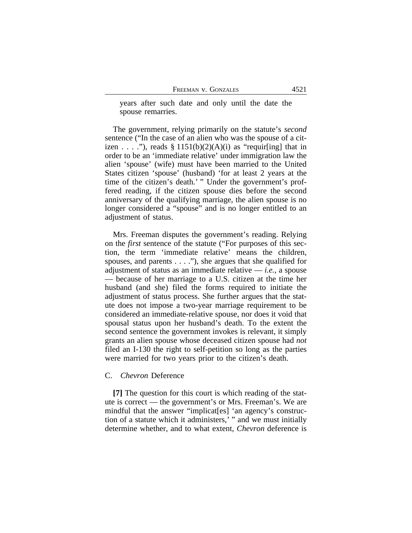years after such date and only until the date the spouse remarries.

The government, relying primarily on the statute's *second* sentence ("In the case of an alien who was the spouse of a citizen . . . ."), reads  $\S 1151(b)(2)(A)(i)$  as "requir[ing] that in order to be an 'immediate relative' under immigration law the alien 'spouse' (wife) must have been married to the United States citizen 'spouse' (husband) 'for at least 2 years at the time of the citizen's death.' " Under the government's proffered reading, if the citizen spouse dies before the second anniversary of the qualifying marriage, the alien spouse is no longer considered a "spouse" and is no longer entitled to an adjustment of status.

Mrs. Freeman disputes the government's reading. Relying on the *first* sentence of the statute ("For purposes of this section, the term 'immediate relative' means the children, spouses, and parents . . . ."), she argues that she qualified for adjustment of status as an immediate relative — *i.e.*, a spouse — because of her marriage to a U.S. citizen at the time her husband (and she) filed the forms required to initiate the adjustment of status process. She further argues that the statute does not impose a two-year marriage requirement to be considered an immediate-relative spouse, nor does it void that spousal status upon her husband's death. To the extent the second sentence the government invokes is relevant, it simply grants an alien spouse whose deceased citizen spouse had *not* filed an I-130 the right to self-petition so long as the parties were married for two years prior to the citizen's death.

#### C. *Chevron* Deference

**[7]** The question for this court is which reading of the statute is correct — the government's or Mrs. Freeman's. We are mindful that the answer "implicat[es] 'an agency's construction of a statute which it administers,' " and we must initially determine whether, and to what extent, *Chevron* deference is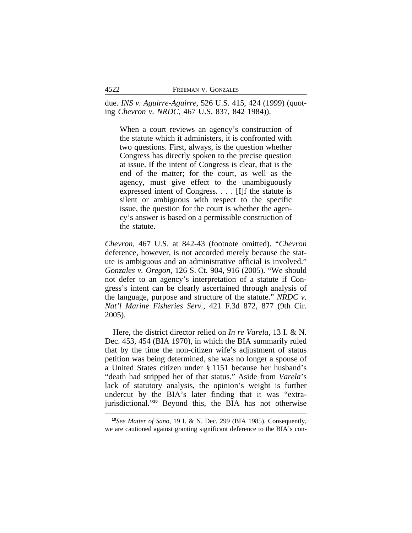due. *INS v. Aguirre-Aguirre*, 526 U.S. 415, 424 (1999) (quoting *Chevron v. NRDC*, 467 U.S. 837, 842 1984)).

When a court reviews an agency's construction of the statute which it administers, it is confronted with two questions. First, always, is the question whether Congress has directly spoken to the precise question at issue. If the intent of Congress is clear, that is the end of the matter; for the court, as well as the agency, must give effect to the unambiguously expressed intent of Congress. . . . [I]f the statute is silent or ambiguous with respect to the specific issue, the question for the court is whether the agency's answer is based on a permissible construction of the statute.

*Chevron*, 467 U.S. at 842-43 (footnote omitted). "*Chevron* deference, however, is not accorded merely because the statute is ambiguous and an administrative official is involved." *Gonzales v. Oregon*, 126 S. Ct. 904, 916 (2005). "We should not defer to an agency's interpretation of a statute if Congress's intent can be clearly ascertained through analysis of the language, purpose and structure of the statute." *NRDC v. Nat'l Marine Fisheries Serv.*, 421 F.3d 872, 877 (9th Cir. 2005).

Here, the district director relied on *In re Varela*, 13 I. & N. Dec. 453, 454 (BIA 1970), in which the BIA summarily ruled that by the time the non-citizen wife's adjustment of status petition was being determined, she was no longer a spouse of a United States citizen under § 1151 because her husband's "death had stripped her of that status." Aside from *Varela*'s lack of statutory analysis, the opinion's weight is further undercut by the BIA's later finding that it was "extrajurisdictional."**<sup>10</sup>** Beyond this, the BIA has not otherwise

**<sup>10</sup>***See Matter of Sano*, 19 I. & N. Dec. 299 (BIA 1985). Consequently, we are cautioned against granting significant deference to the BIA's con-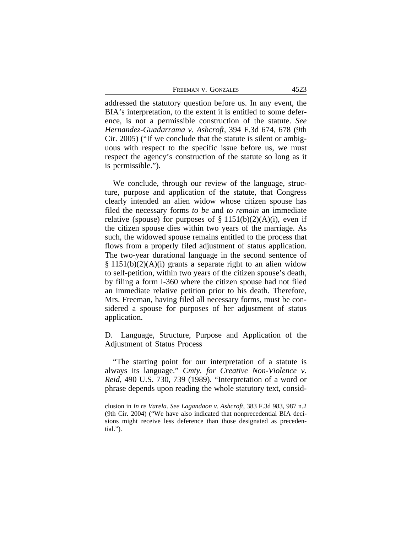FREEMAN V. GONZALES 4523

addressed the statutory question before us. In any event, the BIA's interpretation, to the extent it is entitled to some deference, is not a permissible construction of the statute. *See Hernandez-Guadarrama v. Ashcroft*, 394 F.3d 674, 678 (9th Cir. 2005) ("If we conclude that the statute is silent or ambiguous with respect to the specific issue before us, we must respect the agency's construction of the statute so long as it is permissible.").

We conclude, through our review of the language, structure, purpose and application of the statute, that Congress clearly intended an alien widow whose citizen spouse has filed the necessary forms *to be* and *to remain* an immediate relative (spouse) for purposes of  $\S 1151(b)(2)(A)(i)$ , even if the citizen spouse dies within two years of the marriage. As such, the widowed spouse remains entitled to the process that flows from a properly filed adjustment of status application. The two-year durational language in the second sentence of  $§ 1151(b)(2)(A)(i)$  grants a separate right to an alien widow to self-petition, within two years of the citizen spouse's death, by filing a form I-360 where the citizen spouse had not filed an immediate relative petition prior to his death. Therefore, Mrs. Freeman, having filed all necessary forms, must be considered a spouse for purposes of her adjustment of status application.

D. Language, Structure, Purpose and Application of the Adjustment of Status Process

"The starting point for our interpretation of a statute is always its language." *Cmty. for Creative Non-Violence v. Reid*, 490 U.S. 730, 739 (1989). "Interpretation of a word or phrase depends upon reading the whole statutory text, consid-

clusion in *In re Varela*. *See Lagandaon v. Ashcroft*, 383 F.3d 983, 987 n.2 (9th Cir. 2004) ("We have also indicated that nonprecedential BIA decisions might receive less deference than those designated as precedential.").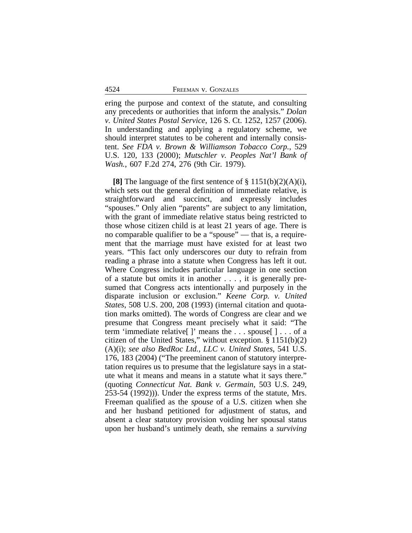ering the purpose and context of the statute, and consulting any precedents or authorities that inform the analysis." *Dolan v. United States Postal Service*, 126 S. Ct. 1252, 1257 (2006). In understanding and applying a regulatory scheme, we should interpret statutes to be coherent and internally consistent. *See FDA v. Brown & Williamson Tobacco Corp.*, 529 U.S. 120, 133 (2000); *Mutschler v. Peoples Nat'l Bank of Wash.*, 607 F.2d 274, 276 (9th Cir. 1979).

**[8]** The language of the first sentence of § 1151(b)(2)(A)(i), which sets out the general definition of immediate relative, is straightforward and succinct, and expressly includes "spouses." Only alien "parents" are subject to any limitation, with the grant of immediate relative status being restricted to those whose citizen child is at least 21 years of age. There is no comparable qualifier to be a "spouse" — that is, a requirement that the marriage must have existed for at least two years. "This fact only underscores our duty to refrain from reading a phrase into a statute when Congress has left it out. Where Congress includes particular language in one section of a statute but omits it in another . . . , it is generally presumed that Congress acts intentionally and purposely in the disparate inclusion or exclusion." *Keene Corp. v. United States*, 508 U.S. 200, 208 (1993) (internal citation and quotation marks omitted). The words of Congress are clear and we presume that Congress meant precisely what it said: "The term 'immediate relative[ ]' means the . . . spouse[ ] . . . of a citizen of the United States," without exception. § 1151(b)(2) (A)(i); *see also BedRoc Ltd., LLC v. United States*, 541 U.S. 176, 183 (2004) ("The preeminent canon of statutory interpretation requires us to presume that the legislature says in a statute what it means and means in a statute what it says there." (quoting *Connecticut Nat. Bank v. Germain*, 503 U.S. 249, 253-54 (1992))). Under the express terms of the statute, Mrs. Freeman qualified as the *spouse* of a U.S. citizen when she and her husband petitioned for adjustment of status, and absent a clear statutory provision voiding her spousal status upon her husband's untimely death, she remains a *surviving*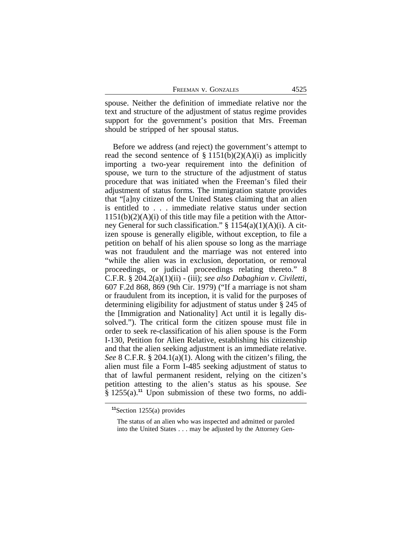| FREEMAN V. GONZALES |  | 4525 |
|---------------------|--|------|
|                     |  |      |

spouse. Neither the definition of immediate relative nor the text and structure of the adjustment of status regime provides support for the government's position that Mrs. Freeman should be stripped of her spousal status.

Before we address (and reject) the government's attempt to read the second sentence of  $\S 1151(b)(2)(A)(i)$  as implicitly importing a two-year requirement into the definition of spouse, we turn to the structure of the adjustment of status procedure that was initiated when the Freeman's filed their adjustment of status forms. The immigration statute provides that "[a]ny citizen of the United States claiming that an alien is entitled to . . . immediate relative status under section  $1151(b)(2)(A)(i)$  of this title may file a petition with the Attorney General for such classification."  $\S 1154(a)(1)(A)(i)$ . A citizen spouse is generally eligible, without exception, to file a petition on behalf of his alien spouse so long as the marriage was not fraudulent and the marriage was not entered into "while the alien was in exclusion, deportation, or removal proceedings, or judicial proceedings relating thereto." 8 C.F.R. § 204.2(a)(1)(ii) - (iii); *see also Dabaghian v. Civiletti*, 607 F.2d 868, 869 (9th Cir. 1979) ("If a marriage is not sham or fraudulent from its inception, it is valid for the purposes of determining eligibility for adjustment of status under § 245 of the [Immigration and Nationality] Act until it is legally dissolved."). The critical form the citizen spouse must file in order to seek re-classification of his alien spouse is the Form I-130, Petition for Alien Relative, establishing his citizenship and that the alien seeking adjustment is an immediate relative. *See* 8 C.F.R. § 204.1(a)(1). Along with the citizen's filing, the alien must file a Form I-485 seeking adjustment of status to that of lawful permanent resident, relying on the citizen's petition attesting to the alien's status as his spouse. *See* § 1255(a).**<sup>11</sup>** Upon submission of these two forms, no addi-

**<sup>11</sup>**Section 1255(a) provides

The status of an alien who was inspected and admitted or paroled into the United States . . . may be adjusted by the Attorney Gen-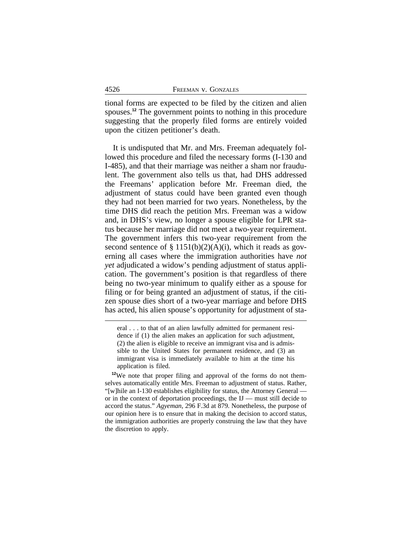tional forms are expected to be filed by the citizen and alien spouses.**<sup>12</sup>** The government points to nothing in this procedure suggesting that the properly filed forms are entirely voided upon the citizen petitioner's death.

It is undisputed that Mr. and Mrs. Freeman adequately followed this procedure and filed the necessary forms (I-130 and I-485), and that their marriage was neither a sham nor fraudulent. The government also tells us that, had DHS addressed the Freemans' application before Mr. Freeman died, the adjustment of status could have been granted even though they had not been married for two years. Nonetheless, by the time DHS did reach the petition Mrs. Freeman was a widow and, in DHS's view, no longer a spouse eligible for LPR status because her marriage did not meet a two-year requirement. The government infers this two-year requirement from the second sentence of  $\S 1151(b)(2)(A)(i)$ , which it reads as governing all cases where the immigration authorities have *not yet* adjudicated a widow's pending adjustment of status application. The government's position is that regardless of there being no two-year minimum to qualify either as a spouse for filing or for being granted an adjustment of status, if the citizen spouse dies short of a two-year marriage and before DHS has acted, his alien spouse's opportunity for adjustment of sta-

eral . . . to that of an alien lawfully admitted for permanent residence if (1) the alien makes an application for such adjustment, (2) the alien is eligible to receive an immigrant visa and is admissible to the United States for permanent residence, and (3) an immigrant visa is immediately available to him at the time his application is filed.

**<sup>12</sup>**We note that proper filing and approval of the forms do not themselves automatically entitle Mrs. Freeman to adjustment of status. Rather, "[w]hile an I-130 establishes eligibility for status, the Attorney General or in the context of deportation proceedings, the IJ — must still decide to accord the status." *Agyeman,* 296 F.3d at 879. Nonetheless, the purpose of our opinion here is to ensure that in making the decision to accord status, the immigration authorities are properly construing the law that they have the discretion to apply.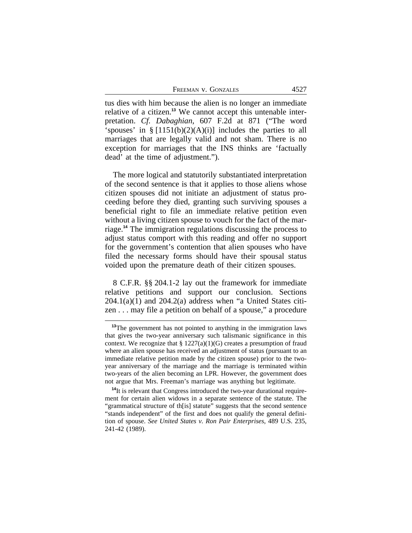FREEMAN V. GONZALES 4527

tus dies with him because the alien is no longer an immediate relative of a citizen.**13** We cannot accept this untenable interpretation. *Cf. Dabaghian*, 607 F.2d at 871 ("The word 'spouses' in  $\S [1151(b)(2)(A)(i)]$  includes the parties to all marriages that are legally valid and not sham. There is no exception for marriages that the INS thinks are 'factually dead' at the time of adjustment.").

The more logical and statutorily substantiated interpretation of the second sentence is that it applies to those aliens whose citizen spouses did not initiate an adjustment of status proceeding before they died, granting such surviving spouses a beneficial right to file an immediate relative petition even without a living citizen spouse to vouch for the fact of the marriage.**<sup>14</sup>** The immigration regulations discussing the process to adjust status comport with this reading and offer no support for the government's contention that alien spouses who have filed the necessary forms should have their spousal status voided upon the premature death of their citizen spouses.

8 C.F.R. §§ 204.1-2 lay out the framework for immediate relative petitions and support our conclusion. Sections  $204.1(a)(1)$  and  $204.2(a)$  address when "a United States citizen . . . may file a petition on behalf of a spouse," a procedure

<sup>&</sup>lt;sup>13</sup>The government has not pointed to anything in the immigration laws that gives the two-year anniversary such talismanic significance in this context. We recognize that  $\S 1227(a)(1)(G)$  creates a presumption of fraud where an alien spouse has received an adjustment of status (pursuant to an immediate relative petition made by the citizen spouse) prior to the twoyear anniversary of the marriage and the marriage is terminated within two-years of the alien becoming an LPR. However, the government does not argue that Mrs. Freeman's marriage was anything but legitimate.

**<sup>14</sup>**It is relevant that Congress introduced the two-year durational requirement for certain alien widows in a separate sentence of the statute. The "grammatical structure of th[is] statute" suggests that the second sentence "stands independent" of the first and does not qualify the general definition of spouse. *See United States v. Ron Pair Enterprises*, 489 U.S. 235, 241-42 (1989).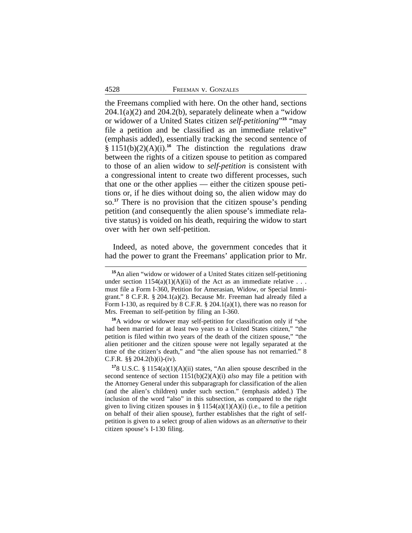the Freemans complied with here. On the other hand, sections  $204.1(a)(2)$  and  $204.2(b)$ , separately delineate when a "widow" or widower of a United States citizen *self-petitioning*" **<sup>15</sup>** "may file a petition and be classified as an immediate relative" (emphasis added), essentially tracking the second sentence of § 1151(b)(2)(A)(i).**<sup>16</sup>** The distinction the regulations draw between the rights of a citizen spouse to petition as compared to those of an alien widow to *self-petition* is consistent with a congressional intent to create two different processes, such that one or the other applies — either the citizen spouse petitions or, if he dies without doing so, the alien widow may do so.**<sup>17</sup>** There is no provision that the citizen spouse's pending petition (and consequently the alien spouse's immediate relative status) is voided on his death, requiring the widow to start over with her own self-petition.

Indeed, as noted above, the government concedes that it had the power to grant the Freemans' application prior to Mr.

**<sup>15</sup>**An alien "widow or widower of a United States citizen self-petitioning under section  $1154(a)(1)(A)(ii)$  of the Act as an immediate relative ... must file a Form I-360, Petition for Amerasian, Widow, or Special Immigrant." 8 C.F.R. § 204.1(a)(2). Because Mr. Freeman had already filed a Form I-130, as required by 8 C.F.R. § 204.1(a)(1), there was no reason for Mrs. Freeman to self-petition by filing an I-360.

**<sup>16</sup>**A widow or widower may self-petition for classification only if "she had been married for at least two years to a United States citizen," "the petition is filed within two years of the death of the citizen spouse," "the alien petitioner and the citizen spouse were not legally separated at the time of the citizen's death," and "the alien spouse has not remarried." 8 C.F.R.  $\S$ § 204.2(b)(i)-(iv).

**<sup>17</sup>**8 U.S.C. § 1154(a)(1)(A)(ii) states, "An alien spouse described in the second sentence of section 1151(b)(2)(A)(i) *also* may file a petition with the Attorney General under this subparagraph for classification of the alien (and the alien's children) under such section." (emphasis added.) The inclusion of the word "also" in this subsection, as compared to the right given to living citizen spouses in  $\S 1154(a)(1)(A)(i)$  (i.e., to file a petition on behalf of their alien spouse), further establishes that the right of selfpetition is given to a select group of alien widows as an *alternative* to their citizen spouse's I-130 filing.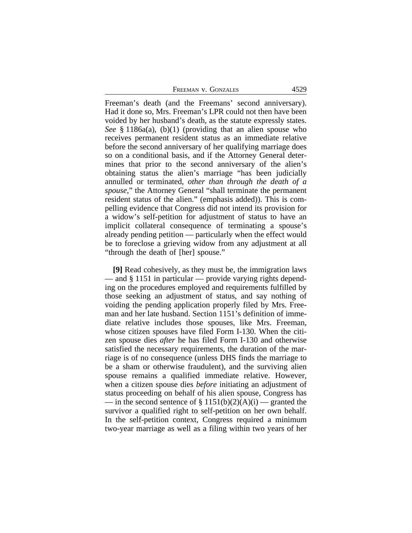| 4529<br>FREEMAN V. GONZALES |
|-----------------------------|
|-----------------------------|

Freeman's death (and the Freemans' second anniversary). Had it done so, Mrs. Freeman's LPR could not then have been voided by her husband's death, as the statute expressly states. *See* § 1186a(a), (b)(1) (providing that an alien spouse who receives permanent resident status as an immediate relative before the second anniversary of her qualifying marriage does so on a conditional basis, and if the Attorney General determines that prior to the second anniversary of the alien's obtaining status the alien's marriage "has been judicially annulled or terminated, *other than through the death of a spouse*," the Attorney General "shall terminate the permanent resident status of the alien." (emphasis added)). This is compelling evidence that Congress did not intend its provision for a widow's self-petition for adjustment of status to have an implicit collateral consequence of terminating a spouse's already pending petition — particularly when the effect would be to foreclose a grieving widow from any adjustment at all "through the death of [her] spouse."

**[9]** Read cohesively, as they must be, the immigration laws — and § 1151 in particular — provide varying rights depending on the procedures employed and requirements fulfilled by those seeking an adjustment of status, and say nothing of voiding the pending application properly filed by Mrs. Freeman and her late husband. Section 1151's definition of immediate relative includes those spouses, like Mrs. Freeman, whose citizen spouses have filed Form I-130. When the citizen spouse dies *after* he has filed Form I-130 and otherwise satisfied the necessary requirements, the duration of the marriage is of no consequence (unless DHS finds the marriage to be a sham or otherwise fraudulent), and the surviving alien spouse remains a qualified immediate relative. However, when a citizen spouse dies *before* initiating an adjustment of status proceeding on behalf of his alien spouse, Congress has — in the second sentence of  $\S 1151(b)(2)(A)(i)$  — granted the survivor a qualified right to self-petition on her own behalf. In the self-petition context, Congress required a minimum two-year marriage as well as a filing within two years of her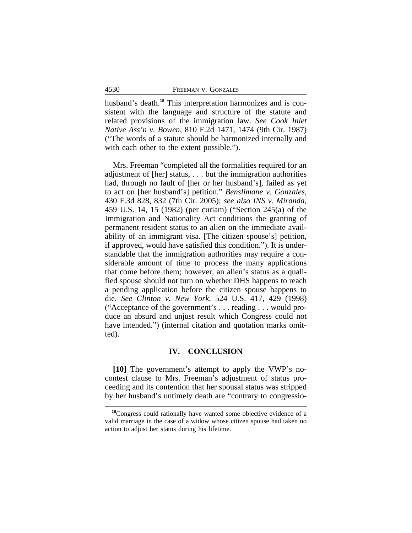husband's death.**18** This interpretation harmonizes and is consistent with the language and structure of the statute and related provisions of the immigration law. *See Cook Inlet Native Ass'n v. Bowen*, 810 F.2d 1471, 1474 (9th Cir. 1987) ("The words of a statute should be harmonized internally and with each other to the extent possible.").

Mrs. Freeman "completed all the formalities required for an adjustment of [her] status, . . . but the immigration authorities had, through no fault of [her or her husband's], failed as yet to act on [her husband's] petition." *Benslimane v. Gonzales*, 430 F.3d 828, 832 (7th Cir. 2005); *see also INS v. Miranda*, 459 U.S. 14, 15 (1982) (per curiam) ("Section 245(a) of the Immigration and Nationality Act conditions the granting of permanent resident status to an alien on the immediate availability of an immigrant visa. [The citizen spouse's] petition, if approved, would have satisfied this condition."). It is understandable that the immigration authorities may require a considerable amount of time to process the many applications that come before them; however, an alien's status as a qualified spouse should not turn on whether DHS happens to reach a pending application before the citizen spouse happens to die. *See Clinton v. New York*, 524 U.S. 417, 429 (1998) ("Acceptance of the government's . . . reading . . . would produce an absurd and unjust result which Congress could not have intended.") (internal citation and quotation marks omitted).

## **IV. CONCLUSION**

**[10]** The government's attempt to apply the VWP's nocontest clause to Mrs. Freeman's adjustment of status proceeding and its contention that her spousal status was stripped by her husband's untimely death are "contrary to congressio-

**<sup>18</sup>**Congress could rationally have wanted some objective evidence of a valid marriage in the case of a widow whose citizen spouse had taken no action to adjust her status during his lifetime.